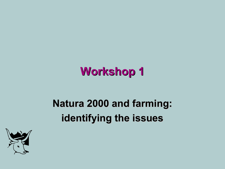# **Workshop 1**

# **Natura 2000 and farming: identifying the issues**

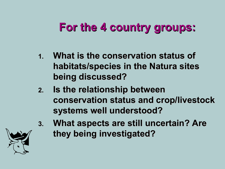- **1. What is the conservation status of habitats/species in the Natura sites being discussed?**
- **2. Is the relationship between conservation status and crop/livestock systems well understood?**
- **3. What aspects are still uncertain? Are they being investigated?**

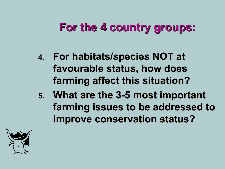- **4. For habitats/species NOT at favourable status, how does farming affect this situation?**
- **5. What are the 3-5 most important farming issues to be addressed to improve conservation status?**

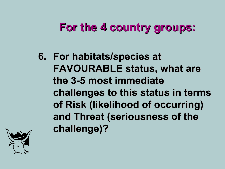**6. For habitats/species at FAVOURABLE status, what are the 3-5 most immediate challenges to this status in terms of Risk (likelihood of occurring) and Threat (seriousness of the challenge)?**

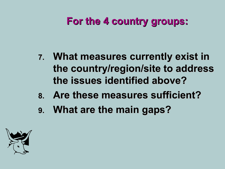- **7. What measures currently exist in the country/region/site to address the issues identified above?**
- **8. Are these measures sufficient?**
- **9. What are the main gaps?**

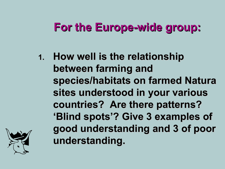## **For the Europe-wide group:**

**1. How well is the relationship between farming and species/habitats on farmed Natura sites understood in your various countries? Are there patterns? 'Blind spots'? Give 3 examples of good understanding and 3 of poor understanding.**

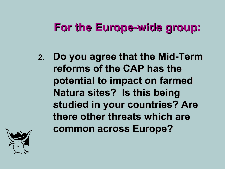## **For the Europe-wide group:**

**2. Do you agree that the Mid-Term reforms of the CAP has the potential to impact on farmed Natura sites? Is this being studied in your countries? Are there other threats which are common across Europe?**